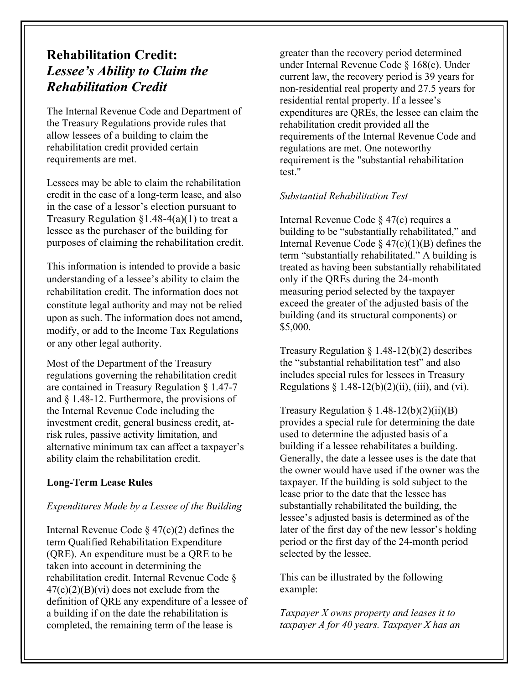# **Rehabilitation Credit:** *Lessee's Ability to Claim the Rehabilitation Credit*

The Internal Revenue Code and Department of the Treasury Regulations provide rules that allow lessees of a building to claim the rehabilitation credit provided certain requirements are met.

Lessees may be able to claim the rehabilitation credit in the case of a long-term lease, and also in the case of a lessor's election pursuant to Treasury Regulation  $\S1.48-4(a)(1)$  to treat a lessee as the purchaser of the building for purposes of claiming the rehabilitation credit.

This information is intended to provide a basic understanding of a lessee's ability to claim the rehabilitation credit. The information does not constitute legal authority and may not be relied upon as such. The information does not amend, modify, or add to the Income Tax Regulations or any other legal authority.

Most of the Department of the Treasury regulations governing the rehabilitation credit are contained in Treasury Regulation § 1.47-7 and § 1.48-12. Furthermore, the provisions of the Internal Revenue Code including the investment credit, general business credit, atrisk rules, passive activity limitation, and alternative minimum tax can affect a taxpayer's ability claim the rehabilitation credit.

# **Long-Term Lease Rules**

# *Expenditures Made by a Lessee of the Building*

Internal Revenue Code  $\S 47(c)(2)$  defines the term Qualified Rehabilitation Expenditure (QRE). An expenditure must be a QRE to be taken into account in determining the rehabilitation credit. Internal Revenue Code §  $47(c)(2)(B)(vi)$  does not exclude from the definition of QRE any expenditure of a lessee of a building if on the date the rehabilitation is completed, the remaining term of the lease is

greater than the recovery period determined under Internal Revenue Code § 168(c). Under current law, the recovery period is 39 years for non-residential real property and 27.5 years for residential rental property. If a lessee's expenditures are QREs, the lessee can claim the rehabilitation credit provided all the requirements of the Internal Revenue Code and regulations are met. One noteworthy requirement is the "substantial rehabilitation test."

# *Substantial Rehabilitation Test*

Internal Revenue Code § 47(c) requires a building to be "substantially rehabilitated," and Internal Revenue Code  $\frac{247(c)(1)(B)}{B}$  defines the term "substantially rehabilitated." A building is treated as having been substantially rehabilitated only if the QREs during the 24-month measuring period selected by the taxpayer exceed the greater of the adjusted basis of the building (and its structural components) or \$5,000.

Treasury Regulation § 1.48-12(b)(2) describes the "substantial rehabilitation test" and also includes special rules for lessees in Treasury Regulations  $\S 1.48-12(b)(2)(ii)$ , (iii), and (vi).

Treasury Regulation  $\S 1.48-12(b)(2)(ii)(B)$ provides a special rule for determining the date used to determine the adjusted basis of a building if a lessee rehabilitates a building. Generally, the date a lessee uses is the date that the owner would have used if the owner was the taxpayer. If the building is sold subject to the lease prior to the date that the lessee has substantially rehabilitated the building, the lessee's adjusted basis is determined as of the later of the first day of the new lessor's holding period or the first day of the 24-month period selected by the lessee.

This can be illustrated by the following example:

*Taxpayer X owns property and leases it to taxpayer A for 40 years. Taxpayer X has an*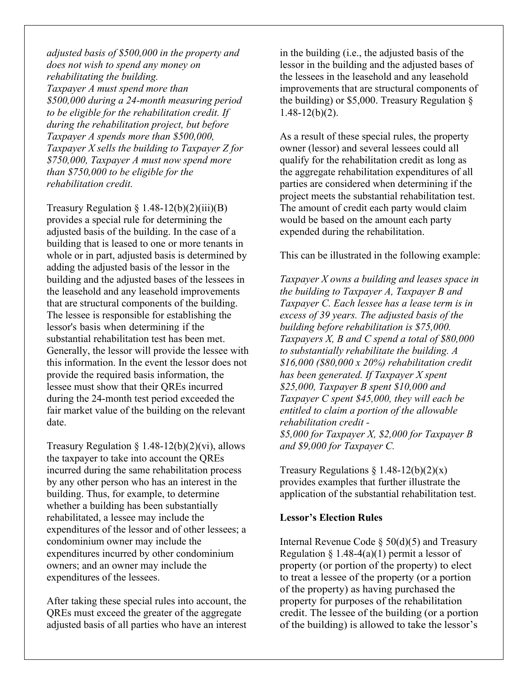*adjusted basis of \$500,000 in the property and does not wish to spend any money on rehabilitating the building. Taxpayer A must spend more than \$500,000 during a 24-month measuring period to be eligible for the rehabilitation credit. If during the rehabilitation project, but before Taxpayer A spends more than \$500,000, Taxpayer X sells the building to Taxpayer Z for \$750,000, Taxpayer A must now spend more than \$750,000 to be eligible for the rehabilitation credit.*

Treasury Regulation  $\S 1.48-12(b)(2)(iii)(B)$ provides a special rule for determining the adjusted basis of the building. In the case of a building that is leased to one or more tenants in whole or in part, adjusted basis is determined by adding the adjusted basis of the lessor in the building and the adjusted bases of the lessees in the leasehold and any leasehold improvements that are structural components of the building. The lessee is responsible for establishing the lessor's basis when determining if the substantial rehabilitation test has been met. Generally, the lessor will provide the lessee with this information. In the event the lessor does not provide the required basis information, the lessee must show that their QREs incurred during the 24-month test period exceeded the fair market value of the building on the relevant date.

Treasury Regulation  $\S 1.48-12(b)(2)(vi)$ , allows the taxpayer to take into account the QREs incurred during the same rehabilitation process by any other person who has an interest in the building. Thus, for example, to determine whether a building has been substantially rehabilitated, a lessee may include the expenditures of the lessor and of other lessees; a condominium owner may include the expenditures incurred by other condominium owners; and an owner may include the expenditures of the lessees.

After taking these special rules into account, the QREs must exceed the greater of the aggregate adjusted basis of all parties who have an interest in the building (i.e., the adjusted basis of the lessor in the building and the adjusted bases of the lessees in the leasehold and any leasehold improvements that are structural components of the building) or \$5,000. Treasury Regulation  $\delta$  $1.48 - 12(b)(2)$ .

As a result of these special rules, the property owner (lessor) and several lessees could all qualify for the rehabilitation credit as long as the aggregate rehabilitation expenditures of all parties are considered when determining if the project meets the substantial rehabilitation test. The amount of credit each party would claim would be based on the amount each party expended during the rehabilitation.

This can be illustrated in the following example:

*Taxpayer X owns a building and leases space in the building to Taxpayer A, Taxpayer B and Taxpayer C. Each lessee has a lease term is in excess of 39 years. The adjusted basis of the building before rehabilitation is \$75,000. Taxpayers X, B and C spend a total of \$80,000 to substantially rehabilitate the building. A \$16,000 (\$80,000 x 20%) rehabilitation credit has been generated. If Taxpayer X spent \$25,000, Taxpayer B spent \$10,000 and Taxpayer C spent \$45,000, they will each be entitled to claim a portion of the allowable rehabilitation credit - \$5,000 for Taxpayer X, \$2,000 for Taxpayer B and \$9,000 for Taxpayer C.*

Treasury Regulations  $\S 1.48-12(b)(2)(x)$ provides examples that further illustrate the application of the substantial rehabilitation test.

#### **Lessor's Election Rules**

Internal Revenue Code  $\S$  50(d)(5) and Treasury Regulation § 1.48-4(a)(1) permit a lessor of property (or portion of the property) to elect to treat a lessee of the property (or a portion of the property) as having purchased the property for purposes of the rehabilitation credit. The lessee of the building (or a portion of the building) is allowed to take the lessor's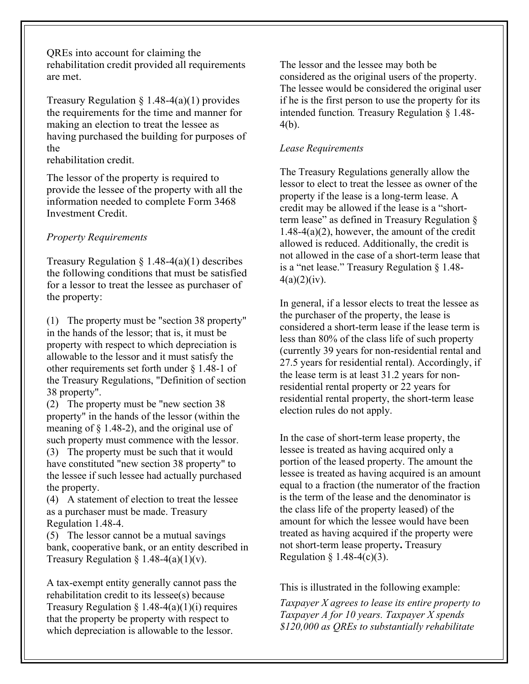QREs into account for claiming the rehabilitation credit provided all requirements are met.

Treasury Regulation  $\S$  1.48-4(a)(1) provides the requirements for the time and manner for making an election to treat the lessee as having purchased the building for purposes of the

rehabilitation credit.

The lessor of the property is required to provide the lessee of the property with all the information needed to complete Form 3468 Investment Credit.

## *Property Requirements*

Treasury Regulation  $\S 1.48-4(a)(1)$  describes the following conditions that must be satisfied for a lessor to treat the lessee as purchaser of the property:

(1) The property must be "section 38 property" in the hands of the lessor; that is, it must be property with respect to which depreciation is allowable to the lessor and it must satisfy the other requirements set forth under § 1.48-1 of the Treasury Regulations, "Definition of section 38 property".

(2) The property must be "new section 38 property" in the hands of the lessor (within the meaning of § 1.48-2), and the original use of such property must commence with the lessor.

(3) The property must be such that it would have constituted "new section 38 property" to the lessee if such lessee had actually purchased the property.

(4) A statement of election to treat the lessee as a purchaser must be made. Treasury Regulation 1.48-4.

(5) The lessor cannot be a mutual savings bank, cooperative bank, or an entity described in Treasury Regulation § 1.48-4(a)(1)(v).

A tax-exempt entity generally cannot pass the rehabilitation credit to its lessee(s) because Treasury Regulation  $\S 1.48-4(a)(1)(i)$  requires that the property be property with respect to which depreciation is allowable to the lessor.

The lessor and the lessee may both be considered as the original users of the property. The lessee would be considered the original user if he is the first person to use the property for its intended function*.* Treasury Regulation § 1.48- 4(b).

## *Lease Requirements*

The Treasury Regulations generally allow the lessor to elect to treat the lessee as owner of the property if the lease is a long-term lease. A credit may be allowed if the lease is a "shortterm lease" as defined in Treasury Regulation § 1.48-4(a)(2), however, the amount of the credit allowed is reduced. Additionally, the credit is not allowed in the case of a short-term lease that is a "net lease." Treasury Regulation § 1.48-  $4(a)(2)(iv)$ .

In general, if a lessor elects to treat the lessee as the purchaser of the property, the lease is considered a short-term lease if the lease term is less than 80% of the class life of such property (currently 39 years for non-residential rental and 27.5 years for residential rental). Accordingly, if the lease term is at least 31.2 years for nonresidential rental property or 22 years for residential rental property, the short-term lease election rules do not apply.

In the case of short-term lease property, the lessee is treated as having acquired only a portion of the leased property. The amount the lessee is treated as having acquired is an amount equal to a fraction (the numerator of the fraction is the term of the lease and the denominator is the class life of the property leased) of the amount for which the lessee would have been treated as having acquired if the property were not short-term lease property**.** Treasury Regulation  $\S$  1.48-4(c)(3).

This is illustrated in the following example:

*Taxpayer X agrees to lease its entire property to Taxpayer A for 10 years. Taxpayer X spends \$120,000 as QREs to substantially rehabilitate*